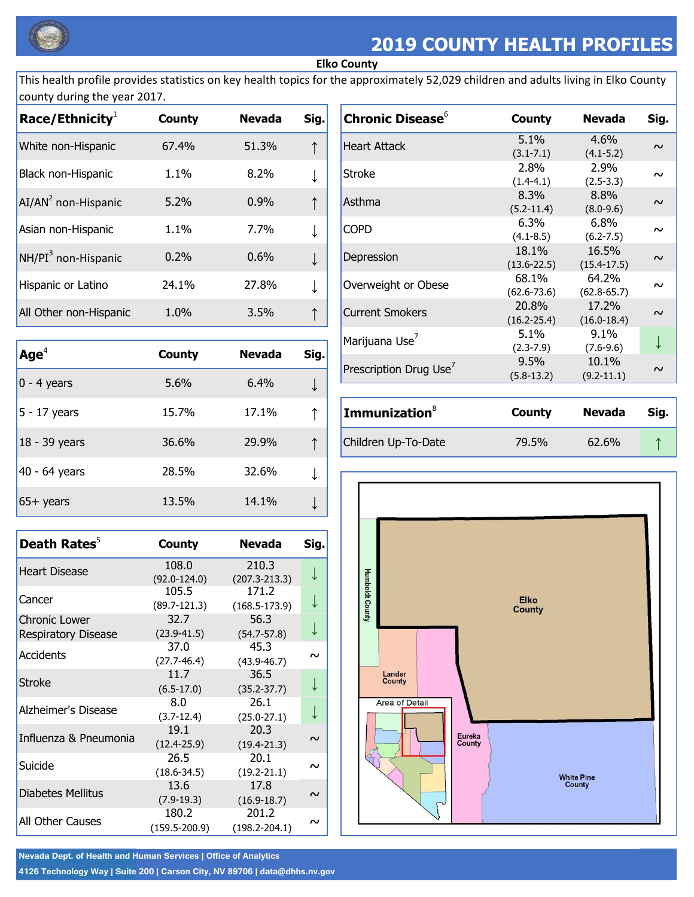

## **2019 COUNTY HEALTH PROFILES**

## **Elko County**

This health profile provides statistics on key health topics for the approximately 52,029 children and adults living in Elko County county during the year 2017.

| Race/Ethnicity <sup>1</sup>     | <b>County</b> | <b>Nevada</b> | Sig. |
|---------------------------------|---------------|---------------|------|
| White non-Hispanic              | 67.4%         | 51.3%         |      |
| Black non-Hispanic              | 1.1%          | 8.2%          |      |
| AI/AN <sup>2</sup> non-Hispanic | 5.2%          | 0.9%          |      |
| Asian non-Hispanic              | 1.1%          | 7.7%          |      |
| NH/PI <sup>3</sup> non-Hispanic | 0.2%          | 0.6%          |      |
| Hispanic or Latino              | 24.1%         | 27.8%         |      |
| All Other non-Hispanic          | 1.0%          | 3.5%          |      |

| Age <sup>4</sup> | <b>County</b> | <b>Nevada</b> | Sig. |
|------------------|---------------|---------------|------|
| $0 - 4$ years    | 5.6%          | 6.4%          |      |
| $5 - 17$ years   | 15.7%         | 17.1%         |      |
| 18 - 39 years    | 36.6%         | 29.9%         |      |
| 40 - 64 years    | 28.5%         | 32.6%         |      |
| $65+$ years      | 13.5%         | 14.1%         |      |

| Death Rates <sup>5</sup>                | <b>County</b>              | <b>Nevada</b>              | Sig.   |
|-----------------------------------------|----------------------------|----------------------------|--------|
| <b>Heart Disease</b>                    | 108.0<br>$(92.0 - 124.0)$  | 210.3<br>$(207.3 - 213.3)$ | ↓      |
| Cancer                                  | 105.5<br>$(89.7 - 121.3)$  | 171.2<br>$(168.5 - 173.9)$ |        |
| <b>Chronic Lower</b>                    | 32.7<br>$(23.9 - 41.5)$    | 56.3<br>$(54.7 - 57.8)$    |        |
| <b>Respiratory Disease</b><br>Accidents | 37.0<br>$(27.7 - 46.4)$    | 45.3<br>$(43.9 - 46.7)$    | $\sim$ |
| Stroke                                  | 11.7<br>$(6.5-17.0)$       | 36.5<br>$(35.2 - 37.7)$    |        |
| Alzheimer's Disease                     | 8.0<br>$(3.7-12.4)$        | 26.1<br>$(25.0 - 27.1)$    |        |
| Influenza & Pneumonia                   | 19.1<br>$(12.4 - 25.9)$    | 20.3<br>$(19.4 - 21.3)$    | $\sim$ |
| Suicide                                 | 26.5<br>$(18.6 - 34.5)$    | 20.1<br>$(19.2 - 21.1)$    | $\sim$ |
| <b>Diabetes Mellitus</b>                | 13.6<br>$(7.9-19.3)$       | 17.8<br>$(16.9 - 18.7)$    | $\sim$ |
| All Other Causes                        | 180.2<br>$(159.5 - 200.9)$ | 201.2<br>$(198.2 - 204.1)$ | $\sim$ |

| <b>Chronic Disease</b> <sup>6</sup> | <b>County</b>            | <b>Nevada</b>            | Sig.   |
|-------------------------------------|--------------------------|--------------------------|--------|
| <b>Heart Attack</b>                 | 5.1%<br>$(3.1 - 7.1)$    | $4.6\%$<br>$(4.1 - 5.2)$ | $\sim$ |
| Stroke                              | 2.8%<br>$(1.4 - 4.1)$    | 2.9%<br>$(2.5-3.3)$      | $\sim$ |
| Asthma                              | 8.3%<br>$(5.2 - 11.4)$   | 8.8%<br>$(8.0 - 9.6)$    | $\sim$ |
| Copd                                | $6.3\%$<br>$(4.1 - 8.5)$ | $6.8\%$<br>$(6.2 - 7.5)$ | ົ      |
| Depression                          | 18.1%<br>$(13.6 - 22.5)$ | 16.5%<br>$(15.4 - 17.5)$ | $\sim$ |
| Overweight or Obese                 | 68.1%<br>$(62.6 - 73.6)$ | 64.2%<br>$(62.8 - 65.7)$ | $\sim$ |
| <b>Current Smokers</b>              | 20.8%<br>$(16.2 - 25.4)$ | 17.2%<br>$(16.0 - 18.4)$ | $\sim$ |
| Marijuana Use <sup>7</sup>          | 5.1%<br>$(2.3 - 7.9)$    | $9.1\%$<br>$(7.6 - 9.6)$ |        |
| Prescription Drug Use <sup>7</sup>  | 9.5%<br>$(5.8 - 13.2)$   | 10.1%<br>$(9.2 - 11.1)$  |        |

| <b>Immunization</b> <sup>8</sup> | County | Nevada | Sia. |
|----------------------------------|--------|--------|------|
| Children Up-To-Date              | 79.5%  | 62.6%  |      |



Nevada Dept. of Health and Human Services | Office of Analytics

4126 Technology Way | Suite 200 | Carson City, NV 89706 | data@dhhs.nv.gov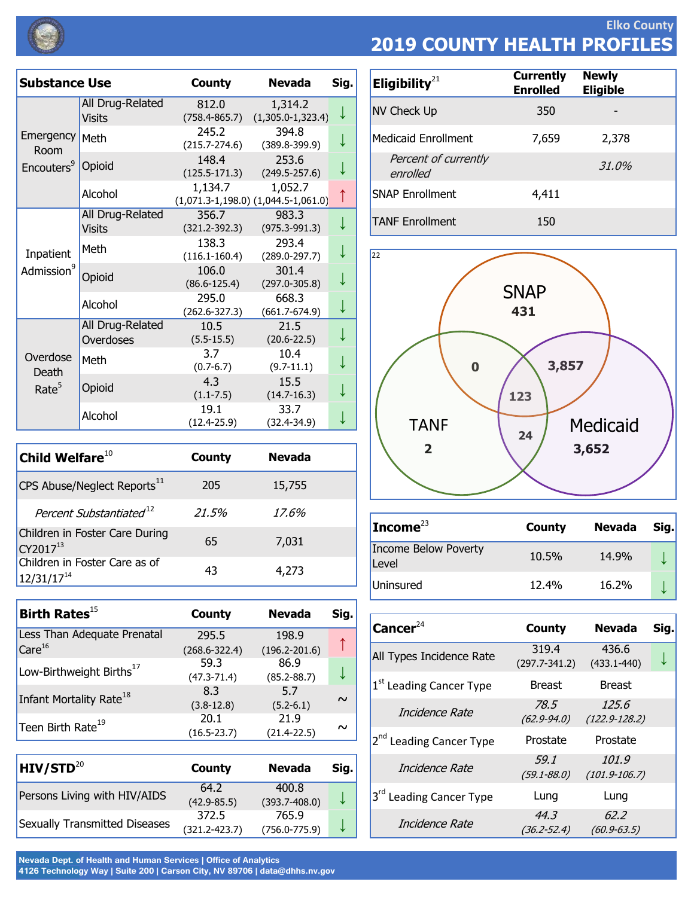

**Elko County 2019 COUNTY HEALTH PROFILES**

| <b>Substance Use</b>                   |                                   | <b>County</b>              | <b>Nevada</b>                                      | Sig. |
|----------------------------------------|-----------------------------------|----------------------------|----------------------------------------------------|------|
|                                        | All Drug-Related<br>Visits        | 812.0<br>$(758.4 - 865.7)$ | 1,314.2<br>$(1,305.0-1,323.4)$                     |      |
| Emergency<br>Room                      | Meth                              | 245.2<br>$(215.7 - 274.6)$ | 394.8<br>$(389.8 - 399.9)$                         |      |
| Encouters <sup>9</sup>                 | Opioid                            | 148.4<br>$(125.5 - 171.3)$ | 253.6<br>$(249.5 - 257.6)$                         |      |
|                                        | Alcohol                           | 1,134.7                    | 1,052.7<br>$(1,071.3-1,198.0)$ $(1,044.5-1,061.0)$ | ↑    |
|                                        | All Drug-Related<br><b>Visits</b> | 356.7<br>$(321.2 - 392.3)$ | 983.3<br>$(975.3 - 991.3)$                         |      |
| Inpatient                              | Meth                              | 138.3<br>$(116.1 - 160.4)$ | 293.4<br>$(289.0 - 297.7)$                         |      |
| Admission <sup>9</sup>                 | Opioid                            | 106.0<br>$(86.6 - 125.4)$  | 301.4<br>$(297.0 - 305.8)$                         |      |
|                                        | Alcohol                           | 295.0<br>(262.6-327.3)     | 668.3<br>$(661.7 - 674.9)$                         |      |
| Overdose<br>Death<br>Rate <sup>5</sup> | All Drug-Related<br>Overdoses     | 10.5<br>$(5.5 - 15.5)$     | 21.5<br>$(20.6 - 22.5)$                            |      |
|                                        | Meth                              | 3.7<br>$(0.7 - 6.7)$       | 10.4<br>$(9.7-11.1)$                               |      |
|                                        | Opioid                            | 4.3<br>$(1.1 - 7.5)$       | 15.5<br>$(14.7 - 16.3)$                            |      |
|                                        | Alcohol                           | 19.1<br>$(12.4 - 25.9)$    | 33.7<br>$(32.4 - 34.9)$                            |      |

| Child Welfare $^{10}$                            | <b>County</b> | <b>Nevada</b> |
|--------------------------------------------------|---------------|---------------|
| CPS Abuse/Neglect Reports <sup>11</sup>          | 205           | 15,755        |
| Percent Substantiated <sup>12</sup>              | 21.5%         | 17.6%         |
| Children in Foster Care During<br>CY201713       | 65            | 7,031         |
| Children in Foster Care as of<br>$12/31/17^{14}$ | 43            | 4,273         |

| Birth Rates $^{15}$                  | County            | <b>Nevada</b>     | Sig.   |
|--------------------------------------|-------------------|-------------------|--------|
| Less Than Adequate Prenatal          | 295.5             | 198.9             |        |
| Care <sup>16</sup>                   | $(268.6 - 322.4)$ | $(196.2 - 201.6)$ |        |
|                                      | 59.3              | 86.9              |        |
| Low-Birthweight Births <sup>17</sup> | $(47.3 - 71.4)$   | $(85.2 - 88.7)$   |        |
|                                      | 8.3               | 5.7               |        |
| Infant Mortality Rate <sup>18</sup>  | $(3.8-12.8)$      | $(5.2 - 6.1)$     | $\sim$ |
|                                      | 20.1              | 21.9              |        |
| Teen Birth Rate <sup>19</sup>        | $(16.5 - 23.7)$   | $(21.4 - 22.5)$   | $\sim$ |

| HIV/STD <sup>20</sup>                | County            | <b>Nevada</b>     | Sig. |
|--------------------------------------|-------------------|-------------------|------|
| Persons Living with HIV/AIDS         | 64.2              | 400.8             |      |
|                                      | $(42.9 - 85.5)$   | $(393.7 - 408.0)$ |      |
| <b>Sexually Transmitted Diseases</b> | 372.5             | 765.9             |      |
|                                      | $(321.2 - 423.7)$ | $(756.0 - 775.9)$ |      |

Nevada Dept. of Health and Human Services | Office of Analytics 4126 Technology Way | Suite 200 | Carson City, NV 89706 | data@dhhs.nv.gov

| Eligibility $21$                 | <b>Currently</b><br><b>Enrolled</b> | <b>Newly</b><br><b>Eligible</b> |
|----------------------------------|-------------------------------------|---------------------------------|
| NV Check Up                      | 350                                 |                                 |
| <b>Medicaid Enrollment</b>       | 7,659                               | 2,378                           |
| Percent of currently<br>enrolled |                                     | 31.0%                           |
| <b>SNAP Enrollment</b>           | 4,411                               |                                 |
| <b>TANF Enrollment</b>           | 150                                 |                                 |



| Income $^{23}$                | County | Nevada | Sig. |
|-------------------------------|--------|--------|------|
| Income Below Poverty<br>Level | 10.5%  | 14.9%  |      |
| Uninsured                     | 12.4%  | 16.2%  |      |

| Cancer $24$                         | <b>County</b>              | <b>Nevada</b>              | Sig. |
|-------------------------------------|----------------------------|----------------------------|------|
| All Types Incidence Rate            | 319.4<br>$(297.7 - 341.2)$ | 436.6<br>$(433.1 - 440)$   |      |
| 1 <sup>st</sup> Leading Cancer Type | <b>Breast</b>              | <b>Breast</b>              |      |
| Incidence Rate                      | 78.5<br>$(62.9 - 94.0)$    | 125.6<br>$(122.9 - 128.2)$ |      |
| 2 <sup>nd</sup> Leading Cancer Type | Prostate                   | Prostate                   |      |
| Incidence Rate                      | 59.1<br>$(59.1 - 88.0)$    | 101.9<br>$(101.9 - 106.7)$ |      |
| 3 <sup>rd</sup> Leading Cancer Type | Lung                       | Lung                       |      |
| Incidence Rate                      | 44.3<br>$(36.2 - 52.4)$    | 62.2<br>$(60.9 - 63.5)$    |      |